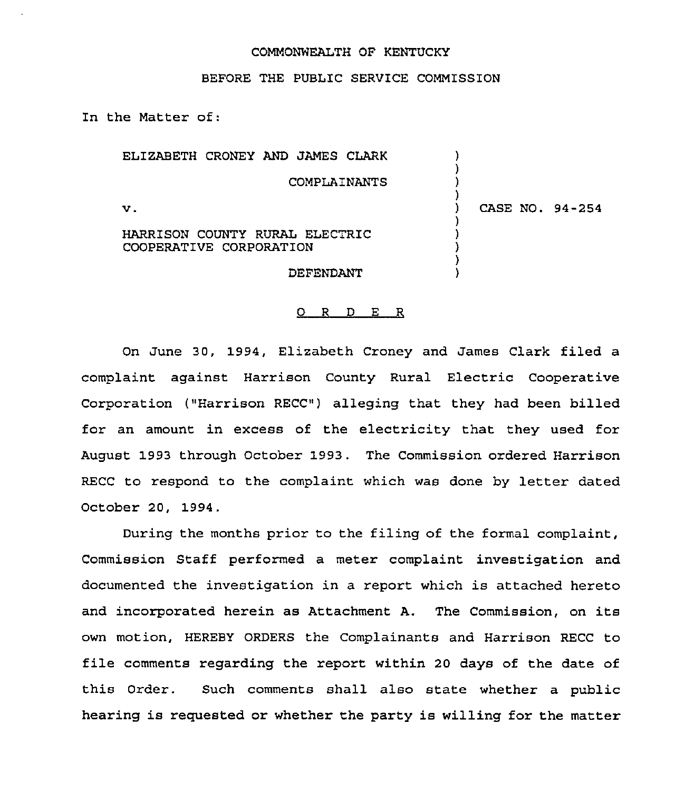#### COMMONWEALTH OF KENTUCKY

#### BEFORE THE PUBLIC SERVICE COMMISSION

In the Matter of:

| ELIZABETH CRONEY AND JAMES CLARK                          |                 |
|-----------------------------------------------------------|-----------------|
| COMPLAINANTS                                              |                 |
| v.                                                        | CASE NO. 94-254 |
| HARRISON COUNTY RURAL ELECTRIC<br>COOPERATIVE CORPORATION |                 |
| DEFENDANT                                                 |                 |

#### 0 <sup>R</sup> <sup>D</sup> E <sup>R</sup>

On June 30, 1994, Elizabeth Croney and James Clark filed a complaint against Harrison County Rural Electric Cooperative Corporation ("Harrison RECC") alleging that they had been billed for an amount in excess of the electricity that they used for August 1993 through October 1993. The Commission ordered Harrison RECC to respond to the complaint which was done by letter dated October 20, 1994.

During the months prior to the filing of the formal complaint, Commission Staff performed a meter complaint investigation and documented the investigation in a report which is attached hereto and incorporated herein as Attachment A. The Commission, on its own motion, HEREBY ORDERS the Complainants and Harrison RECC to file comments regarding the report within <sup>20</sup> days of the date of this Order. Such comments shall also state whether a public hearing is requested or whether the party is willing for the matter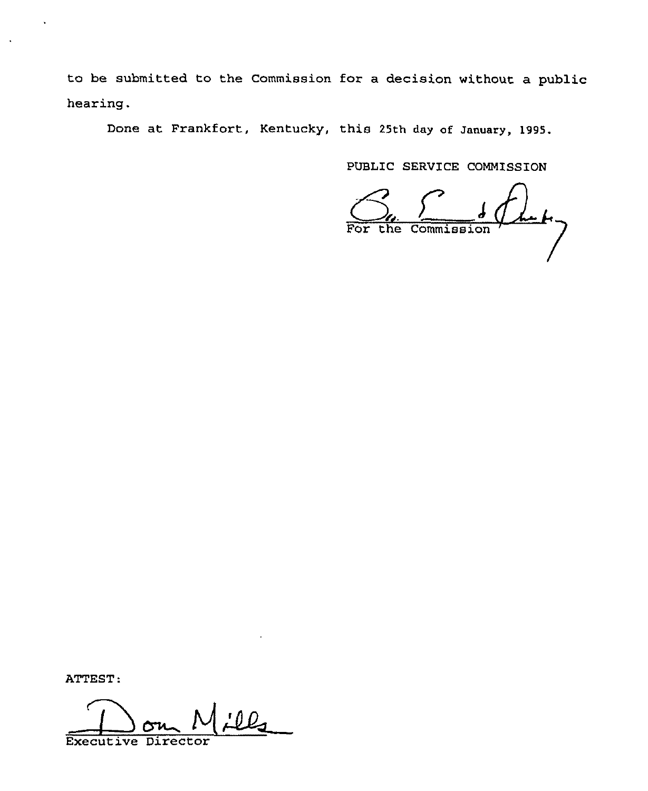to be submitted to the Commission for a decision without a public hearing.

Done at Frankfort, Kentucky, this 25th day of January, 1995.

PUBLIC SERVICE COMMISSION

 $4.47$  $\frac{1}{2}$  $\overline{\text{For the Commission}}$   $\overline{\phantom{a}}$ 

ATTEST:

**Executiv**  $\sum$ Director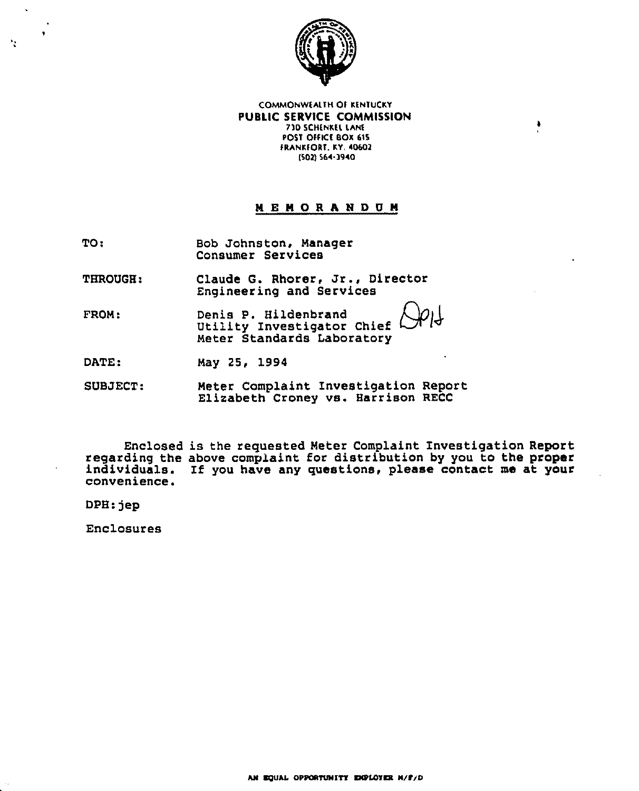

COMMONWEALTN OT XENTuCXV PUBLIC SERVICE COMMISSION 7)0 SCNENXEL LANE POST OFFICE BOX 615 FRANKFORT, KY. 40602 (502) 564-3940

٠

## **MEMORANDUM**

TO: Bob Johnston, Manager Consumer Services

THROUGH: Claude G. Rhorer, Jr., Director Engineering and Services

FROM: Denis P. Hildenbrand Utility Investigator Chief Meter Standards Laboratory

DATE: May 25, 1994

SUBJECT: Meter Complaint Investigation Report Elisabeth Croney vs. Harrison RECC

Enclosed is the requested Meter Complaint Investigation Report regarding the above complaint for distribution by you to the proper individuals. If you have any questions, please contact me at your convenience.

DPH: jep

ħ.

Enclosures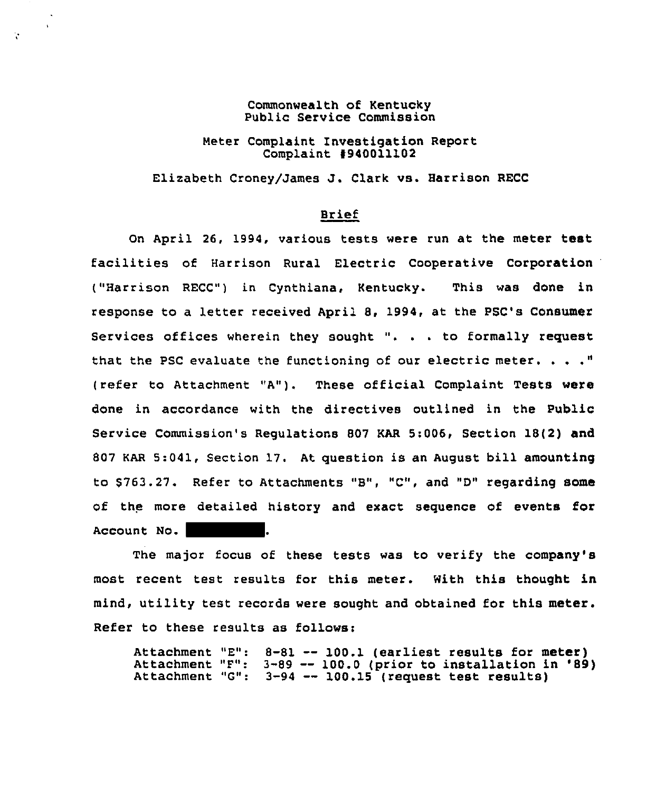Commonwealth of Kentucky Public Service Commission

V.

Meter Complaint Investigation Report Complaint #940011102

Elizabeth CroneylJames J. Clark vs. Harrison RECC

#### Brief

On April 26, 1994, various tests were run at the meter test facilities of Harrison Rural Electric Cooperative Corporation ("Harrison RECC") in Cynthiana, Kentucky. This was done in response to a letter received April 8, 1994, at the PSC's Consumer Services offices wherein they sought ". . . to formally request that the PSC evaluate the functioning of our electric meter.  $\ldots$ ." (refer to Attachment "A"). These official Complaint Tests were done in accordance with the directives outlined in the Public Service Commission's Regulations 807 KAR 5:006, Section 18(2) and 807 KAR 5:041, Section 17. At question is an August bill amounting to 5763.27. Refer to Attachments "B", "C", and "D" regarding some of the more detailed history and exact sequence of events for Account No.

The major focus of these tests was to verify the company's most recent test results for this meter. With this thought in mind, utility test records were sought and obtained for this meter. Refer to these results as follows:

Attachment "E": 8-81 -- 100.1 (earliest results for meter) Attachment "E": 8-81 -- 100.1 (earliest results for meter)<br>Attachment "F": 3-89 -- 100.0 (prior to installation in '89) Attachment "F": 3-89 -- 100.0 (prior to installation<br>Attachment "G": 3-94 -- 100.15 (request test results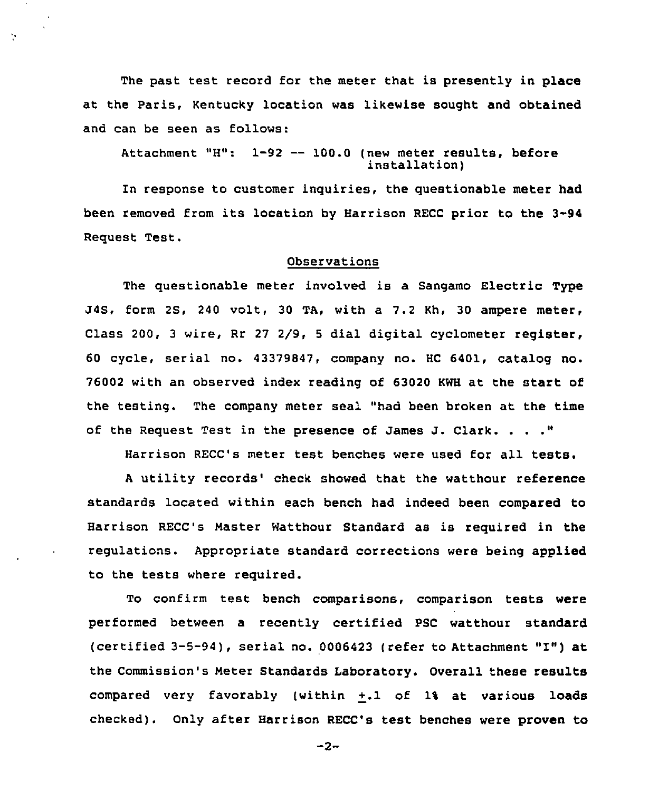The past test record for the meter that is presently in place at the Paris, Kentucky location was likewise sought and obtained and can be seen as follows:

Ŷ.

Attachment "H": 1-92 -- 100.0 (new meter results, before<br>installation)

In response to customer inquiries, the questionable meter had been removed from its location by Harrison RECC prior to the 3-94 Request Test.

### Observations

The questionable meter involved is a Sangamo Electric Type J4S, form 2S, 240 volt, 30 TA, with a 7.2 Kh, 30 ampexe meter, Class 200, <sup>3</sup> wire, Rr 27 2/9, <sup>5</sup> dial digital cyclometer register, 60 cycle, serial no. 43379847, company no. HC 6401, catalog no. 76002 with an observed index reading of 63020 KWH at the start of the testing. The company meter seal "had been broken at the time of the Request Test in the presence of James J. Clark.

Harrison RECC's meter test benches were used for all tests.

A utility records' check showed that the watthour reference standards located within each bench had indeed been compared to Harrison RECC's Master Watthoux Standard as is required in the regulations. Appropriate standard corrections were being applied to the tests where required.

To confirm test bench comparisons, comparison tests were performed between a recently certified PSC watthour standard (certified 3-5-94), serial no. <sup>0006423</sup> {refer to Attachment "I") at the Commission's Meter Standards Laboratory. Overall these results compared very favorably (within +.1 of 1% at various loads checked). Only after Harrison RECC's test benches were proven to

 $-2-$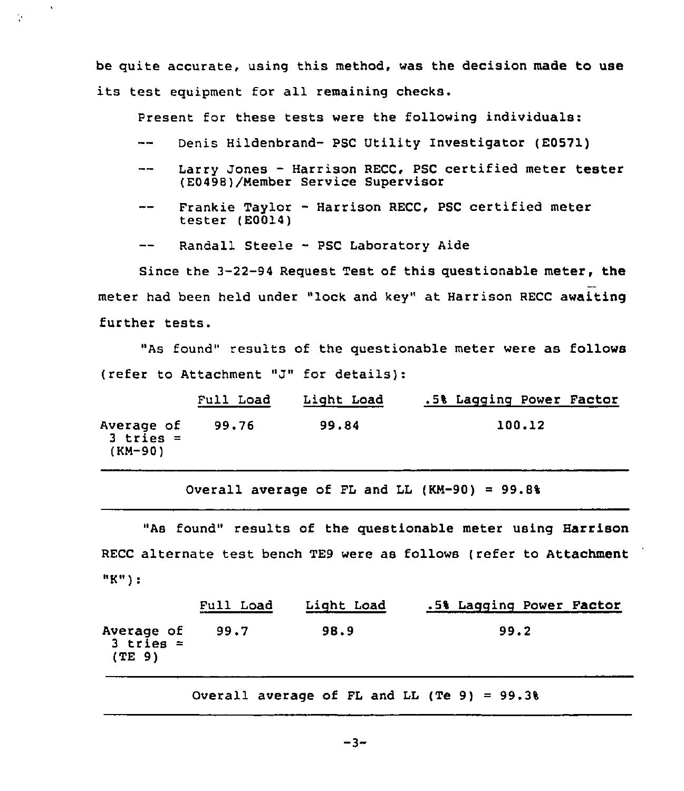be quite accurate, using this method, was the decision made to use its test equipment for all remaining checks.

Present for these tests were the following individuals:

- $\frac{1}{2}$ Denis Hildenbrand- PSC Utility Investigator (E0571)
- Larry Jones Harrison RECC, PSC certified meter tester  $\frac{1}{2}$ (E0498)/Nember Service Supervisor
- Frankie Taylor Harrison RECC, PSC certified meter  $-$ tester (E0014)
- Randall Steele PSC Laboratory Aide  $- -$

Ņ.

Since the 3-22-94 Request Test of this questionable meter, the meter had been held under "lock and key" at Harrison RECC awaiting further tests.

"As found" results of the questionable meter were as follows (refer to Attachment "J" for details)

|                                      | Full Load | Light Load | .5% Lagging Power Factor |
|--------------------------------------|-----------|------------|--------------------------|
| Average of<br>$3$ tries =<br>(KM-90) | 99.76     | 99.84      | 100.12                   |

Overall average of FL and LL  $(KM-90) = 99.8%$ 

"As found" results of the questionable meter using Harrison RECC alternate test bench TE9 were as follows (refer to Attachment "K")

|                                     | Full Load | Light Load | .5% Lagging Power Factor |
|-------------------------------------|-----------|------------|--------------------------|
| Average of<br>$3$ tries =<br>(TE 9) | 99.7      | 98.9       | 99.2                     |

Overall average of FL and LL (Te 9) =  $99.3%$ 

 $-3-$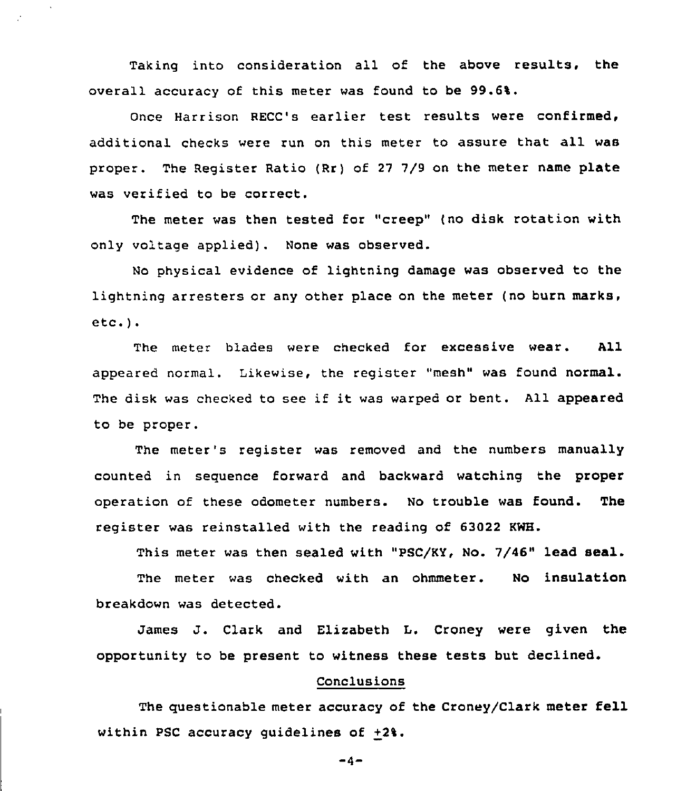Taking into consideration all of the above results, the overall accuracy of this meter was found to be 99.6%.

÷.

Once Harrison RECC's earlier test results were confirmed, additional checks were run on this meter to assure that all was proper. The Register Ratio (Rr) of 27 7/9 on the meter name plate was verified to be correct.

The meter was then tested for "creep" (no disk rotation with only voltage applied). None was observed.

No physical evidence of lightning damage was observed to the lightning arresters or any other place on the meter (no burn marks, etc.).

The meter blades were checked for excessive wear. All appeared normal. Likewise, the register "mesh" was found normal. The disk was checked to see if it was warped or bent. All appeared to be proper.

The meter's register was removed and the numbers manually counted in sequence forward and backward watching the proper operation of these odometer numbers. No trouble was found. The register was reinstalled with the reading of 63022 KWH.

This meter was then sealed with "PSC/KY, No. 7/46" lead seal. The meter was checked with an ohmmeter. No insulation breakdown was detected.

James J. Clark and Elizabeth L. Croney were given the opportunity to be present to witness these tests but declined.

#### Conclusions

The questionable meter accuracy of the Croney/Clark meter fell within PSC accuracy guidelines of  $+2\$ .

 $-4-$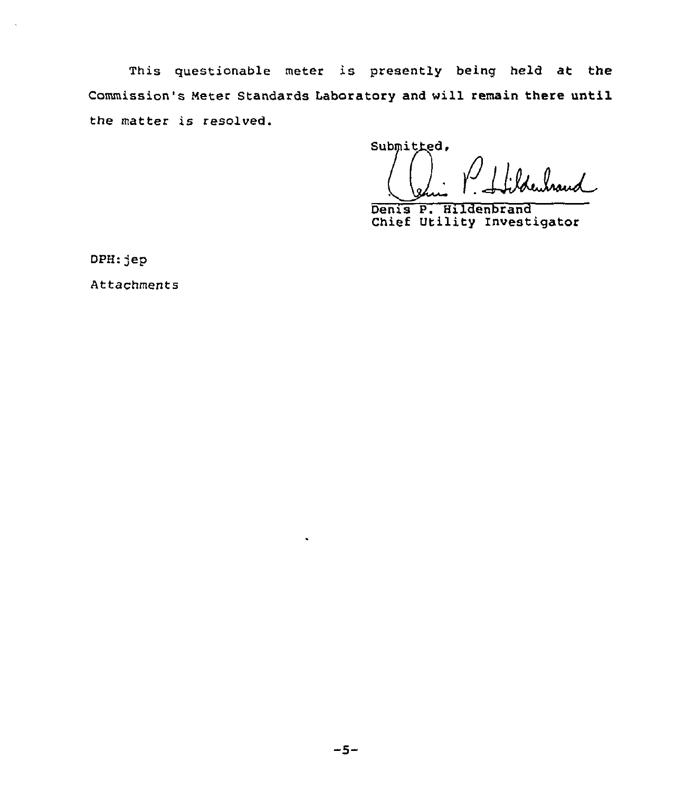This questionable meter is presently being held at the Commission's Meter Standards Laboratory and will remain there until the matter is resolved.

Submitted.

Denis P. Hildenbrand Chief Utility Investigator

DPH:jep

Attachments

 $\tilde{\phantom{a}}$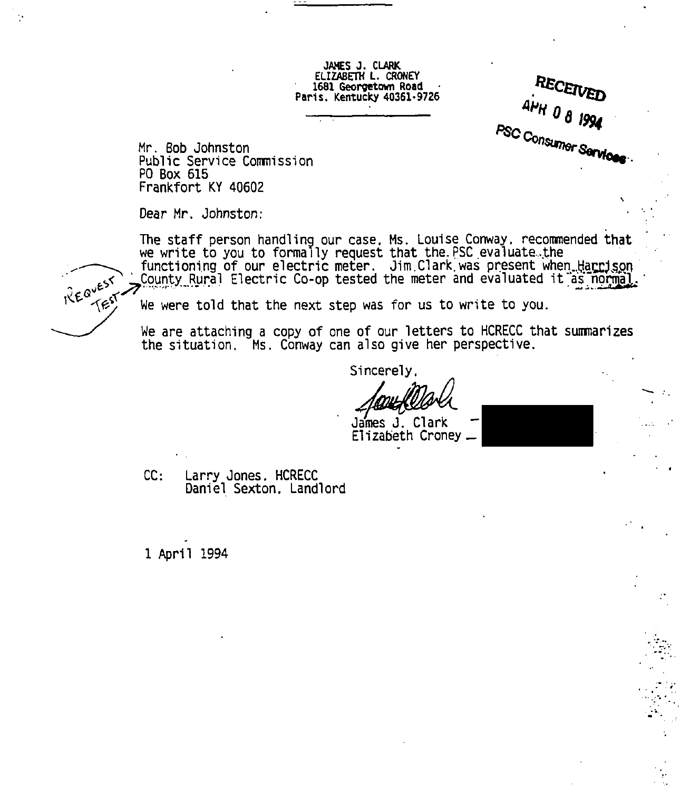JAHES J. CLARK ELIZABETH L. CRONEV 1681 Georgetem Road Paris. Kentucky 40361-9726

RECEIVED  $A$ PH' 0 8 1994 **PSC Consumer Service** 

Mr. Bob Johnston Public Service Commission PO Box 615 Frankfort KY 40602

Dear Mr. Johnston:

The staff person handling our case. Ms. Louise Conway. recommended that we write to you to formally request that the. PSC evaluate. the functioning of our electric meter. Jim Clark was present when Harrison<br>County Rural Electric Co-op tested the meter and evaluated it as normal. Frankfort KY 40602<br>
Dear Mr. Johnston:<br>
The staff person handling our case. Ms. Louise Conway. recommended that<br>
we write to you to formally request that the PSC evaluate. the<br>
functioning of our electric meter. Jim Clark

We are attaching a copy of one of our letters to HCRECC that summarizes the situation. Ms. Conway can also give her perspective.

Sincerely,

James J. Clark Elizabeth Croney

CC: Larry Jones. HCRECC Daniel Sexton, Landlord

1 April 1994

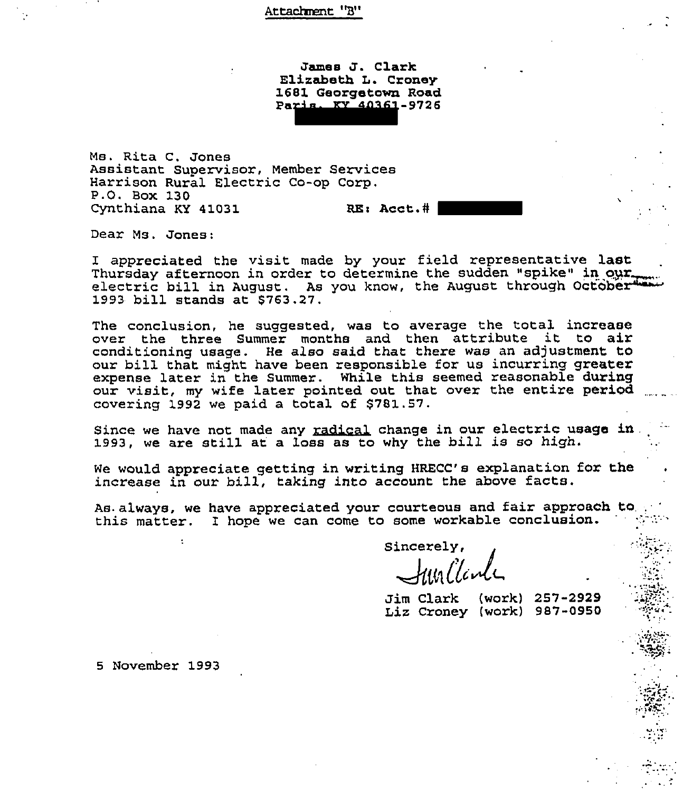## Attachnent "B"

James J. Clark Elizabeth L. Croney 1681 Georgetown Road Paris, KY 40361-9726

Ms. Rita C. Jones Assistant Supervisor, Member Services Harrison Rural Electric Co-op Corp. P.O. Box 130 Cynthiana KY 41031 RE: Acct.#

Dear Ms. Jones:

I appreciated the visit made by your field representative l**ast**<br>Thursday afternoon in order to determine the sudden "spike" in our. electric bill in August. As you know, the August through October 1993 bill stands at 8763.27.

The conclusion, he suggested, was to average the total increase over the three Summer months and then attribute it to air conditioning usage. He also said that there was an adjustment to our bill that might have been responsible for us incurring greater expense later in the Summer. While this seemed reasonable during our visit, my wife later pointed out that over the entire period covering 1992 we paid. a total of 5781.57.

Since we have not made any radical change in our electric usage in 1993, we are still at <sup>a</sup> loss as to why the bill is so high.

We would appreciate getting in writing HRECC's explanation for the increase in our bill, taking into account the above facts.

As always, we have appreciated your courteous and fair approach to this matter. I hope we can come to some workable conclusion.

Sincerely,  $\mathcal{H}$ us l'Icu

Jim Clark {work) 257-2929 Liz Croney {work) 987-0950

5 November 1993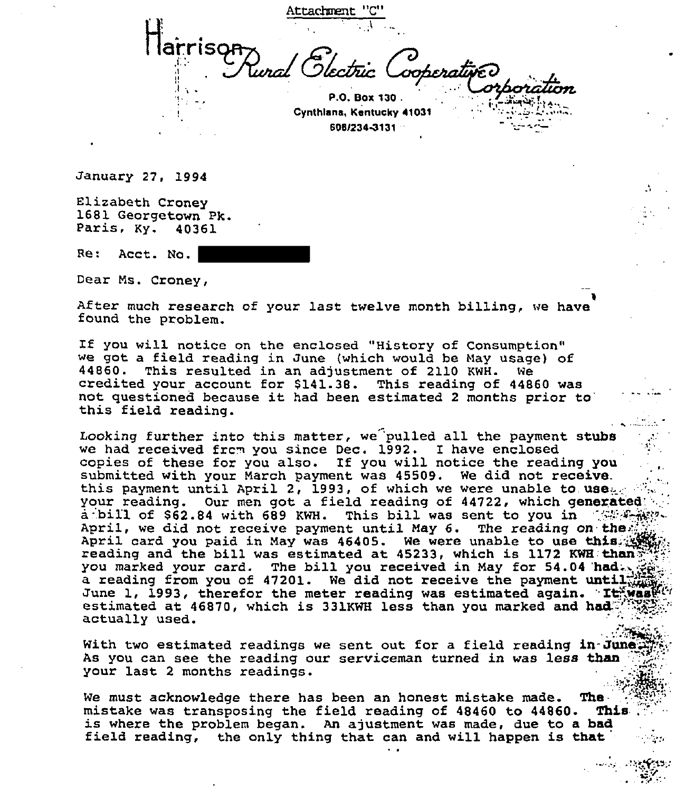larrisor

P.O. Box 130. Cynthlana, Kentucky 41031 606/234%131

tachment

January 27, 1994

Elizabeth Croney <sup>1681</sup> Georgetown Pk. Paris, Ky. <sup>40361</sup>

Ret Acct. No.

Dear Ms. Croney,

After much research of your last twelve month billing, we have found the problem.

If you will notice on the enclosed "History of Consumption" we got a field reading in June (which would be May usage) of<br>44860. This resulted in an adjustment of 2110 KWH. We credited your account for \$141.38. This reading of 44860 was not questioned because it had been estimated <sup>2</sup> months prior this field reading.

Looking further into this matter, we 'pulled all the payment stubs we had received frcm you since Dec. 1992. I have enclosed copies of these for you also. If you will notice the reading you submitted with your March payment was 45509. We did not receive.<br>this payment until April 2, 1993, of which we were unable to use your reading. Our men got a field reading of 44722, which generated: a bill of \$62.84 with 689 KWH. This bill was sent to you in  $1.65\%$ April, we did not receive payment until May 6. The reading on the. April card you paid in May was 46405. We were unable to use this... reading and the bill was estimated at 45233, which is 1172 KWH:than; you marked your card. The bill you received in May for 54.04 had., a reading from you of 47201. We did not receive the payment until $\mathbb{Z}_M^{\text{L}}$ June 1, 1993, therefor the meter reading was estimated again. It, was estimated at 46870, which is 331KWH less than you marked and had: $\mathbb{Z}^{\ell}$ actually used.

With two estimated readings we sent out for a field reading in-June. As you can see the reading our serviceman turned in was less than your last <sup>2</sup> months readings.

We must acknowledge there has been an honest mistake made. The  $\frac{1}{2}$  mistake was transposing the field reading of 48460 to 44860. This mistake was transposing the field reading of 48460 to 44860. is where the problem began. An ajustment was made, due to a bad field reading, the only thing that can and will happen is that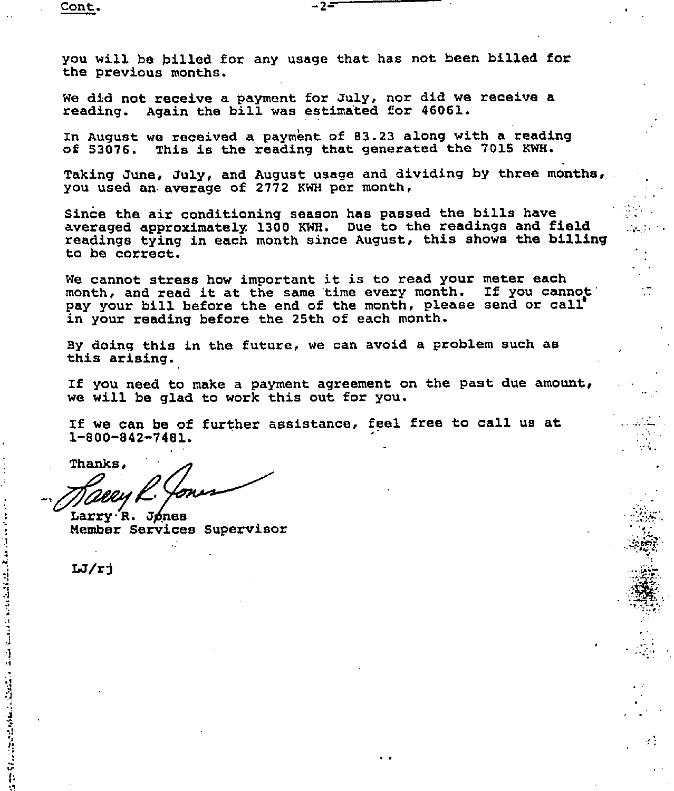you will be billed for any usage that has not been billed for the previous months.

-2-

We did not receive a payment for July, nor did we receive a reading. Again the bill was estima'ted for 46061.

In August we received a payment of 83.23 along with a reading<br>of 53076. This is the reading that generated the 7015 KWH. This is the reading that generated the 7015 KWH.

Taking June, July, and August usage and dividing by three months, you used an average of 2772 KWH per month,

Since the air conditioning season has passed the bills have averaged approximately, 1300 KWH. Due to the readings and field readings tying in each month since August, this shows the billing to be correct.

We cannot stress how important it is to read your meter each<br>month, and read it at the same time every month. If you cannot month, and read it at the same time every month. pay your hill before the end of the month, please send or call in your reading before the 25th of each month.

By doing this in the future, we can avoid a problem such as this arising.

If you need to make a payment agreement on the past due amount, we will be glad to work this out for you.

ł.

If we can be of further assistance, feel free to call us at 1-800-842-7481.

Thanks,

Larry R. Jones Member Services Supervisor

 $LJ/rj$ 

**The Contract of the American Science of the Contract of the Contract of the Contract of the Contract of the Contract of the Contract of the Contract of the Contract of The Contract of The Contract of The Contract of The C** 

 $\mathbf{M}$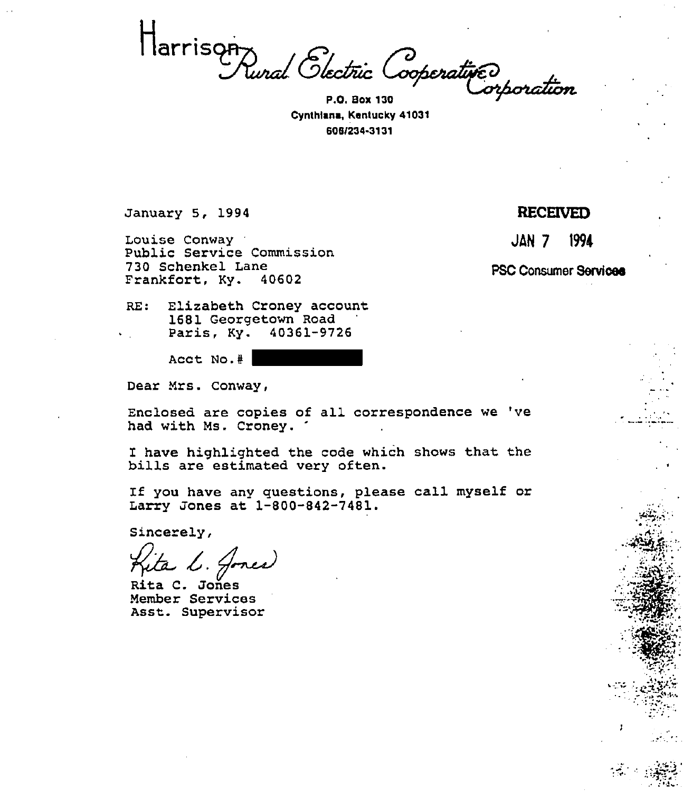Marrison<br>Punal Slectric Cooperative

Cynthlene, Kentucky 41031 606I234%131

January 5, 1994

Louise Conway Public Service Commission 730 Schenkel Lane<br>Frankfort, Ky. 40602 Frankfort, Ky.

RECEIVED

JAN 7 1994

PSC Consumer Services

RE: Elizabeth Croney account 1681 Georgetown Road<br>Paris, Ky. 40361-9726 Paris, Ky.

Acct No.#

Dear Mrs. Conway,

Enclosed are copies of all correspondence we 've had with Ms. Croney.

I have highlighted the code which shows that the bills are estimated very often.

If you have any questions, please call myself or Larry Jones at 1-800-842-7481.

Sincerely,

Rita C. Jones Member Services Asst. Supervisor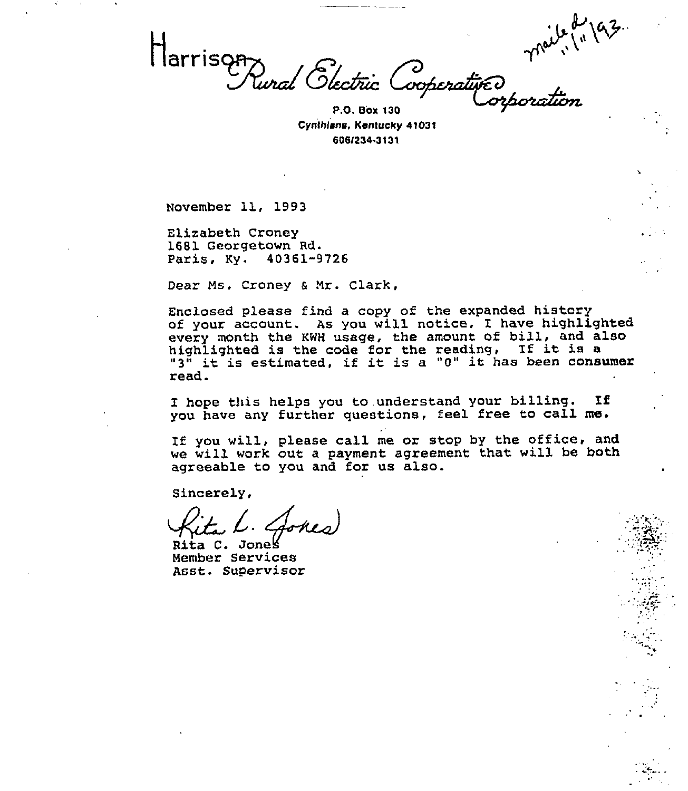بلن

arrison<br>Tunal Glectric ---<br>Cooperative

Cynthlana, Kentuck<sub>)</sub> P.O, Box 130 41031 606l234.313'I

November 11, 1993

 $\blacksquare$ 

Elizabeth Croney 1681 Georgetown Rd. Paris, Ky. 40361-9726

Dear Ms. Croney & Mr. Clark,

Enclosed please find a copy of the expanded history of your account. As you will notice, I have highlighted every month the KWH usage, the amount of bill, and also highlighted is the code for the reading, If it is <sup>a</sup> "3" it is estimated, if it is <sup>a</sup> "0" it has been consumer read.

I hope this helps you to understand your billing. If you have any further questions, feel free to call me.

If you will, please call me or stop by the office, and we will work out a payment agreement that will be both agreeable to you and for us also.

Sincerely,

Rita C. Jones Member Services Asst. Supervisor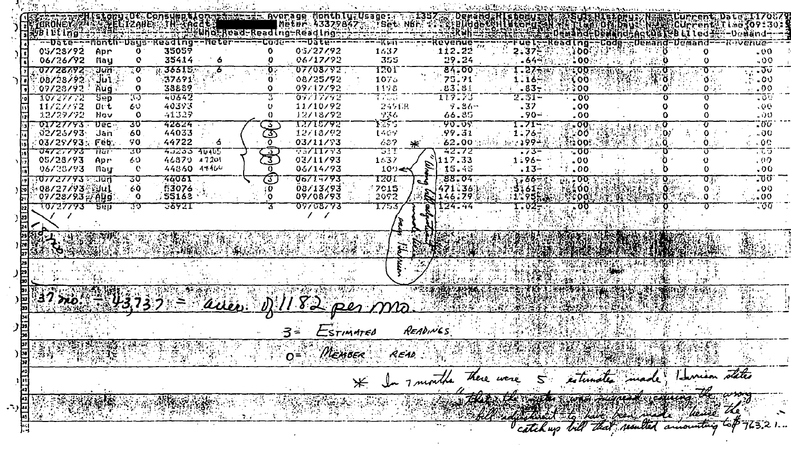$7.1357$  and **DemandzRIstorum Ka** .Consumption tamman average Monthluzusage: ZORONEY (2011-1926) EC12AUE THE ACAL **The ACAL The Community of ACAL ACAL ACAL ACAL T**<br>VBLUtlng<del>1... Talk the Communicated Communicated</del> Ing-ReadIng-ReadIng FINDEL DE LATAR Fuel-Reading--Code--Demand-Demand---Revenue-न्द्रियां न Revenue 112.22 05/27/92 クェネフジ 35059 1632 : oo: 05/28/92 Apr  $\bullet$  $-00$ 355 35414 06/17/92 29.24 -6452 100. 06/26/92  $\mathbf C$  $.00$ **Nau** ' ہ  $\frac{1}{\sqrt{2}}$  .  $\frac{1}{\sqrt{2}}$ 1701 07709792 07728792 . उपाय  $35515 - 6$ 84.00 1.27+W  $-00.$ **WARD SERVICE** ∜ liñ ÷  $37691$ 75.71  $\mathcal{L}$  00. 08/28/92  $\Omega$ 08/25/92 1075  $1.18 \sim 00$  $\mathbf{0}$ . Űπ  $.83.81$ ∵Aug  $07/28/92$  $\mathbf 0$ 38889  $\Omega$ 09/17/92 1198  $-83-3$  $: 300$  $0 \div$  $\cdot$  00 エロアニプン  $-00$ 10727772 उस्क 75 40642 0777792 T700 2. ST-737. 40393 11/10/92  $.00.$  $11/27/32$ -Or t 60 249138  $9.86 .37$  $.00$ 41329 12/18/92 **936** 66.85  $.90 -$ 12/29/92 Nov  $\Omega$  $\Omega$ .00 - 50 <u>አማ</u>ምም THI 5792 ᠊᠊᠊᠀᠊ᢐᠽᢐᢌ  $\overline{100}$ ᢎᠼᢆᢆᢆᢆϭᡦᡵ **017277937** ਾਸ਼ਟਾ उठ  $72524$ 1.71--تې . ক্ত 12/18/92  $.99.31$  $1.76 -$ 02/26/93 Jan 44033 ∵oo' 60 ぼくア  $. \cdot .00$ 03/11/93  $\sim$  62,00 mins and 1994. :03/29/93 Feb. 44722  $\overline{O}$  $637$  $600\%$ 50. - 6  $\sim 00$  $\mathbf o$ 4.02.33 46465 30 **TSZIIZT3** उस्स 32.72 ্ৰতক र र र 04727793 समा  $\frac{1}{3}$ -73-ত 05/28/93 03/11/93  $117.33$ 46870 47201 Apr 60.  $1637$  $1:96 -00$  $.09$ 06/28/93 44860 44460 06/14/93  $-15.45$  $.13 -$ ាងបា  $\bullet$  $109 .00$  $.00$ 73 **TZUI** 73 T  $00714793$  $-88.04$  $7,667$ 700ar  $14.500$ ᠊ᢆ᠍᠍᠍ᢐ  $\mathfrak{a}_V$ 08/27/93 Voul 53076 08/13/93 471.361 5161# ု့ (၀၀)  $60$ 17015  $.00$ : 0  $\Omega$ . 宿克·北州,0-1 09/28/93 3 Aug  $955163$  $3.00$ 09/08/93 2072  $146.79%$ 1195533 : € 0 0. ം :  $\Omega$ 124.34 ᠊ᠽ᠊ᢐᡃᢐ "."σσ 10/27773 500 77 でるタクエ 07708773 3 7753 **1.02-1**  $\prime$   $\prime$ ፡ 11 -Stachen 9/182 per ma ARTICLE DE LA PO  $3 = E$ STIMMTED READINGS O= MEMBER READ WHY \* In months there were estimates made Isurian states the the such was more decimen the way adjustment to have been the laws the The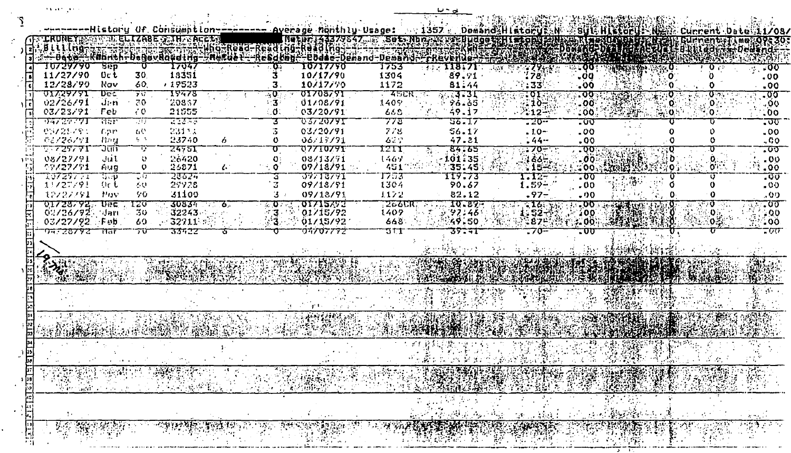|                 |                                       |            |                     |                                     |                                                                                      |                        | -History Of Consumption- <del>-------- A</del> verage Monthly Usage: |             | $1357 +$             | <b>Demand History RAN</b>                                                                                                                                                                                                                                                                                                                                           |                                                         | <b>ASSURG HISTORIES NES</b>             |                                                                        | Current Da          | te:11/08/               |        |
|-----------------|---------------------------------------|------------|---------------------|-------------------------------------|--------------------------------------------------------------------------------------|------------------------|----------------------------------------------------------------------|-------------|----------------------|---------------------------------------------------------------------------------------------------------------------------------------------------------------------------------------------------------------------------------------------------------------------------------------------------------------------------------------------------------------------|---------------------------------------------------------|-----------------------------------------|------------------------------------------------------------------------|---------------------|-------------------------|--------|
|                 | JRUNEYJ                               |            |                     | 电电阻 化化合物 医颈部 医双角耳 英语                |                                                                                      |                        | Петрг 143379847 Бе Set Mbr XXVI Италет Назов                         |             |                      |                                                                                                                                                                                                                                                                                                                                                                     |                                                         | SKA R GOZULI DANE                       |                                                                        | Gurrent.            |                         | 19-30- |
|                 | illino <del>.</del>                   |            |                     |                                     |                                                                                      | <b>Meruel-Resdroof</b> |                                                                      |             |                      |                                                                                                                                                                                                                                                                                                                                                                     |                                                         | OGGKGC DELLEGERET I ELILLED FILIO GETTI |                                                                        |                     |                         |        |
|                 | 0729790                               | Sep        | U                   | ∸Dana—FKannth-Danavaqdriig<br>17047 |                                                                                      |                        | -eddae-demand-demand-Freqenda<br><b>[0717770</b>                     | 1753        |                      |                                                                                                                                                                                                                                                                                                                                                                     |                                                         |                                         |                                                                        |                     |                         |        |
|                 | 11/27/90                              | Oc t       | 30.                 | 13351                               |                                                                                      |                        | 10/17/90                                                             | 1304        | 89.91                | 178                                                                                                                                                                                                                                                                                                                                                                 | .00                                                     |                                         |                                                                        |                     | $\sim$ 00 $\sim$<br>.00 |        |
|                 | 12/28/90                              | Nav        | 60.                 | , 19523                             |                                                                                      | 3                      | 10/17/70                                                             | 1172        | 81.44                | $\cdot$ 33 $\cdot$                                                                                                                                                                                                                                                                                                                                                  | .00                                                     |                                         |                                                                        |                     | .00                     |        |
|                 | <u> 01729751</u>                      | Dec        | 70                  | १९४७४                               |                                                                                      | ্ত                     | <b>01703791</b>                                                      | यनस         | खर उ                 | TO T                                                                                                                                                                                                                                                                                                                                                                | :তফ                                                     |                                         |                                                                        | 0 P.                | - তত                    |        |
|                 | 02/26/91                              | dan        | 70                  | 20867                               |                                                                                      | σ.                     | 01/08/91                                                             | 1409        | 96.65                | . 10÷                                                                                                                                                                                                                                                                                                                                                               | -00                                                     |                                         |                                                                        | 0.                  | -490.                   |        |
|                 | 03/23/91                              | Гeb        | 70                  | 21555                               |                                                                                      | ∴0.                    | 03/20/91                                                             | 660         | 49.17                | $-212 +$                                                                                                                                                                                                                                                                                                                                                            | $-00.$                                                  | 空法犯罪                                    | $\mathbb{R}^{10}$                                                      | :0.,                | $\sim$ 00               |        |
|                 | कर दल पूर                             | नात है।    | 79                  | ত্রতের                              |                                                                                      |                        | ᠊ᠧᡘᢌᠵᡓᢐᠵᢦ᠊ᠷ                                                          | 773         | 22-17                | -20--                                                                                                                                                                                                                                                                                                                                                               | <u>-00</u>                                              |                                         |                                                                        |                     | $\overline{\mathbf{v}}$ |        |
|                 | 05725793                              | Lpr.       | 60                  | 23113                               |                                                                                      |                        | 03/20/91                                                             | 778         | 56.17                | $-1.0-$                                                                                                                                                                                                                                                                                                                                                             | .00                                                     |                                         |                                                                        |                     | .00.                    |        |
|                 | 01/26/91                              | 11zu       | $\mathbf{L}$        | 23740                               | 6.                                                                                   |                        | 06/17/91                                                             | 62.2        | 47.81                | $-44 -$                                                                                                                                                                                                                                                                                                                                                             | .00.                                                    |                                         |                                                                        |                     | - 00                    |        |
|                 | תי <i>ריפי</i> ל                      | วตก        | T                   | <u>रमण्डा</u>                       |                                                                                      |                        | <b>77710791</b>                                                      | 12I T       | हद ढड                | 70 F                                                                                                                                                                                                                                                                                                                                                                | $\overline{\mathbf{Q}}$                                 |                                         |                                                                        |                     | ᠊ᢆᡘᢐ                    |        |
| いいい             | 08/27/91<br>クタノミクノタシ                  | JUL<br>Aug | O.<br>$\mathbf o$   | 26420<br>25871                      | $\mathcal{L}_{\mathcal{C}}$                                                          |                        | 08/13/71<br>07/18/91                                                 | 1467<br>451 | $-101.35$<br>1351451 | $160 -$                                                                                                                                                                                                                                                                                                                                                             | :00<br>:00                                              |                                         |                                                                        | O                   | $.00 \times$<br>00.3    |        |
|                 | 10729771                              | Na ∪       | $\mathbb{T}^{\, 7}$ | 23624                               |                                                                                      | a.                     | 77713771                                                             | T753        | 119.73               | 1.17-                                                                                                                                                                                                                                                                                                                                                               | - 00                                                    |                                         |                                                                        |                     | .00                     |        |
|                 | 11/27/91                              | ાત દ       | 40.                 | 27728                               |                                                                                      |                        | 09/18/91                                                             | 1304        | 90.67                | $1.59 -$                                                                                                                                                                                                                                                                                                                                                            | .00.                                                    |                                         |                                                                        |                     | 00.5                    |        |
|                 | 12/27/91                              | 書のい        | -5 0                | 31.100                              |                                                                                      |                        | 09/18/91                                                             | 1172        | 82.12                | $.97 -$                                                                                                                                                                                                                                                                                                                                                             | .00                                                     |                                         |                                                                        |                     | .00                     |        |
|                 | 011291252                             | -Dec       | 20                  | 30834                               | 6.                                                                                   | 0.                     | 01712793                                                             | २०ठाम       | 10.87-               | <b>A163</b>                                                                                                                                                                                                                                                                                                                                                         | .00                                                     |                                         |                                                                        |                     | $\sqrt{30}$             |        |
|                 | 02/26/923                             | '√arı      | 30                  | 32243                               |                                                                                      | 3.                     | 01/15/92                                                             | 1409        | (97.46)              | 1:52-1                                                                                                                                                                                                                                                                                                                                                              | $\angle 00$                                             |                                         |                                                                        |                     | $-0.0$                  |        |
|                 | 03/27/92 Feb                          |            | $\epsilon$          | 32711:                              |                                                                                      | ∷3∴                    | 01/15/92                                                             | 668         | 49.50                | *875                                                                                                                                                                                                                                                                                                                                                                | 00                                                      |                                         |                                                                        | $0 -$               | 400.                    |        |
|                 | <b>DA. 28773</b>                      | मरत        | ᢧᡁ                  | 33422                               | υ                                                                                    |                        | 77707772                                                             | str         | あまこすむ                | -70-                                                                                                                                                                                                                                                                                                                                                                | -00                                                     |                                         |                                                                        |                     | 700                     |        |
|                 |                                       |            |                     |                                     |                                                                                      |                        |                                                                      |             |                      |                                                                                                                                                                                                                                                                                                                                                                     |                                                         |                                         |                                                                        |                     |                         |        |
|                 |                                       |            |                     |                                     |                                                                                      |                        |                                                                      |             | N.                   | $\label{eq:3.1} \frac{\partial \mathcal{L}_{\mathcal{G}}(\mathcal{G})}{\partial \mathcal{L}_{\mathcal{G}}(\mathcal{G})} = \frac{1}{2} \sum_{i=1}^n \frac{\partial \mathcal{L}_{\mathcal{G}}(\mathcal{G})}{\partial \mathcal{L}_{\mathcal{G}}(\mathcal{G})} \frac{\partial \mathcal{L}_{\mathcal{G}}(\mathcal{G})}{\partial \mathcal{L}_{\mathcal{G}}(\mathcal{G})}$ |                                                         | 승한학생                                    |                                                                        |                     |                         |        |
|                 |                                       |            |                     |                                     |                                                                                      |                        |                                                                      |             |                      |                                                                                                                                                                                                                                                                                                                                                                     |                                                         |                                         |                                                                        |                     |                         |        |
|                 |                                       |            |                     |                                     |                                                                                      |                        |                                                                      |             | 2002 YIM 8           | 心的地区的低小公司                                                                                                                                                                                                                                                                                                                                                           |                                                         | MARKET AWAY                             |                                                                        | <b>PARTHY STATE</b> | 1042 Z.J.               |        |
|                 |                                       |            |                     |                                     |                                                                                      |                        |                                                                      |             |                      | Marine Desemb                                                                                                                                                                                                                                                                                                                                                       |                                                         |                                         |                                                                        |                     |                         |        |
|                 |                                       |            |                     |                                     |                                                                                      |                        |                                                                      |             |                      |                                                                                                                                                                                                                                                                                                                                                                     |                                                         |                                         |                                                                        |                     |                         |        |
|                 |                                       |            |                     |                                     |                                                                                      |                        |                                                                      |             |                      |                                                                                                                                                                                                                                                                                                                                                                     |                                                         |                                         |                                                                        |                     |                         |        |
|                 |                                       |            |                     |                                     |                                                                                      |                        |                                                                      |             |                      |                                                                                                                                                                                                                                                                                                                                                                     |                                                         |                                         |                                                                        |                     |                         |        |
|                 |                                       |            |                     |                                     |                                                                                      |                        |                                                                      |             |                      |                                                                                                                                                                                                                                                                                                                                                                     |                                                         |                                         |                                                                        |                     |                         |        |
|                 |                                       |            |                     |                                     |                                                                                      |                        |                                                                      |             |                      |                                                                                                                                                                                                                                                                                                                                                                     |                                                         | <b>NATURAL PROPERTY</b>                 |                                                                        |                     |                         |        |
|                 |                                       |            |                     |                                     |                                                                                      |                        |                                                                      |             |                      |                                                                                                                                                                                                                                                                                                                                                                     |                                                         |                                         |                                                                        |                     |                         |        |
|                 |                                       |            |                     |                                     |                                                                                      |                        |                                                                      |             |                      |                                                                                                                                                                                                                                                                                                                                                                     |                                                         |                                         |                                                                        |                     |                         |        |
|                 | 法国际的复数 医内特耳氏 计分布的复数形式 人名德英格兰人姓氏英格兰人姓氏 |            |                     |                                     | $\sim 10^{-10}$ and                                                                  |                        | (King rush oli alitanga<br>in the control                            | ふん          | 医电动脉搏动 医动脉切除术 医肠切除术  | បានប្រើប្រា                                                                                                                                                                                                                                                                                                                                                         |                                                         | <b>CONDEMY PARK ENTRY TO PERMIT A</b>   |                                                                        |                     |                         |        |
|                 |                                       |            | 24 M                |                                     |                                                                                      |                        |                                                                      |             |                      |                                                                                                                                                                                                                                                                                                                                                                     |                                                         |                                         |                                                                        |                     | 辨                       |        |
|                 |                                       |            |                     |                                     |                                                                                      |                        |                                                                      |             |                      |                                                                                                                                                                                                                                                                                                                                                                     | 柔美                                                      | <b>ANGERIA</b>                          | 楽長<br>素晴                                                               |                     |                         |        |
| <u>ministri</u> |                                       |            |                     |                                     |                                                                                      |                        |                                                                      |             |                      |                                                                                                                                                                                                                                                                                                                                                                     |                                                         |                                         |                                                                        |                     |                         |        |
|                 |                                       |            |                     |                                     |                                                                                      |                        |                                                                      |             |                      |                                                                                                                                                                                                                                                                                                                                                                     |                                                         |                                         |                                                                        |                     |                         |        |
|                 | -19                                   |            |                     |                                     |                                                                                      |                        | $\bullet$<br>$\sim 100$ km s $^{-1}$                                 |             |                      | <u> 18 - 18 a</u>                                                                                                                                                                                                                                                                                                                                                   |                                                         |                                         | $\frac{1}{\sqrt{2}}\left( \frac{1}{\sqrt{2}}\right) ^{2}$<br>$\sim 10$ | $\sim 10^{-1}$      |                         |        |
| 5               |                                       |            | -99                 | <u>न्त्रान्त्रकृत</u>               | <b>Health</b><br>$\frac{1}{2} \frac{d}{dt} \frac{d}{dt} \left( \frac{d}{dt} \right)$ | <u> इस्लेख</u> र       |                                                                      |             |                      |                                                                                                                                                                                                                                                                                                                                                                     |                                                         |                                         |                                                                        |                     | $\mathcal{L}^{(2)}$     |        |
|                 |                                       |            |                     |                                     |                                                                                      |                        | RESERVED                                                             |             |                      | <b>TARA</b><br>$\mathcal{U}^{(1)}_{\mathcal{V}}$                                                                                                                                                                                                                                                                                                                    | 懋<br>$\sim 20$<br>$\mathcal{C} \rightarrow \mathcal{C}$ |                                         |                                                                        | (調整機能)<br>(本格)      | $\sim$                  |        |
| - 11            |                                       |            |                     |                                     |                                                                                      |                        |                                                                      |             |                      |                                                                                                                                                                                                                                                                                                                                                                     |                                                         |                                         |                                                                        |                     |                         |        |

 $\mathcal{F}$ 

 $\mathcal{L}_{\mathcal{A}}$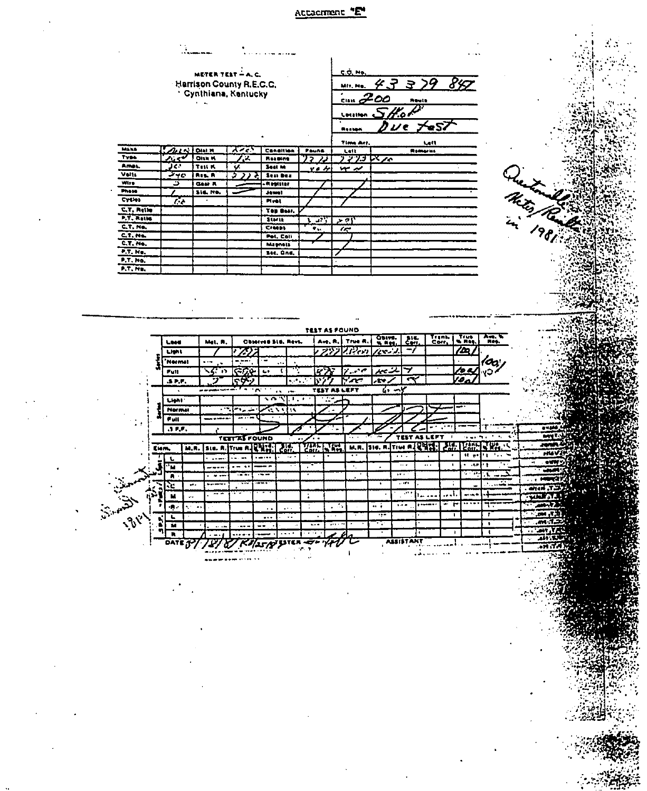## Attacment "E"

|                        |                  | METER TEST - A. C.              |                       |                             |                |                    | C.O. Ho.        |                                                                     |                   |                           |                      |                               |               |  |
|------------------------|------------------|---------------------------------|-----------------------|-----------------------------|----------------|--------------------|-----------------|---------------------------------------------------------------------|-------------------|---------------------------|----------------------|-------------------------------|---------------|--|
|                        |                  | <b>Harrison County R.E.C.C.</b> |                       |                             |                |                    | MII, No.        | 4337                                                                |                   |                           | 847                  |                               |               |  |
|                        |                  | * Cynthiana, Kantucky           |                       |                             |                |                    | .<br><i>200</i> |                                                                     |                   |                           |                      |                               |               |  |
|                        |                  |                                 |                       |                             |                |                    |                 |                                                                     | Reute             |                           |                      |                               |               |  |
|                        |                  |                                 |                       |                             |                |                    | Localien        | 4.                                                                  |                   |                           |                      |                               |               |  |
|                        |                  |                                 |                       |                             |                |                    | Heaton          |                                                                     | ij e              | <b>'eS7</b>               |                      |                               |               |  |
|                        |                  |                                 |                       |                             |                |                    |                 |                                                                     |                   |                           |                      |                               |               |  |
|                        | へいい              |                                 |                       |                             |                |                    | Time Arr        |                                                                     |                   | Latt                      |                      |                               |               |  |
|                        | ی م              | <b>DIAL H</b><br><b>OILE K</b>  | いい<br>x               | Consillen<br><b>Reading</b> | ' 2            | <b>Paune</b><br>22 | Lett<br>ブンジゴ    | $\mathbf{K}_{\mathbf{Z}}$                                           | <b>Romarks</b>    |                           |                      |                               |               |  |
|                        | J€°              | <b>Test K</b>                   | u.                    | Seat M                      |                | پر ويو             | بد میں          |                                                                     |                   |                           |                      |                               |               |  |
|                        | ᡔᢦᢛ              | <b>ROS. R</b>                   |                       | Seal Ben                    |                |                    |                 |                                                                     |                   |                           |                      |                               | Cruze Land    |  |
|                        | ت                | Gest A                          |                       | <b>Replated</b>             |                |                    |                 |                                                                     |                   |                           |                      |                               |               |  |
|                        |                  | <b>Sid. No.</b>                 |                       | <b>Jawel</b>                |                |                    |                 |                                                                     |                   |                           |                      |                               |               |  |
| Cythea                 | r.               |                                 |                       | <b>Plyest</b>               |                |                    |                 |                                                                     |                   |                           |                      |                               |               |  |
| C.T. Rette             |                  |                                 |                       | TOP Bear.                   |                |                    |                 |                                                                     |                   |                           |                      |                               |               |  |
| P.T. RAIM<br>C.7, NA   |                  |                                 |                       | <b>Starts</b><br>Creans     |                | $\overline{a}$     | ا ہے ج          |                                                                     |                   |                           |                      |                               |               |  |
| C, T, N                |                  |                                 |                       | Pot. Coll                   |                | ٠.,                | æ               |                                                                     |                   |                           |                      |                               |               |  |
| $CT.$ Me.              |                  |                                 |                       | <b>Magnets</b>              |                |                    |                 |                                                                     |                   |                           |                      |                               |               |  |
| $FT.$ No.              |                  |                                 |                       | Sec. Gnd.                   |                |                    |                 |                                                                     |                   |                           |                      |                               |               |  |
| P.T.No.                |                  |                                 |                       |                             |                |                    |                 |                                                                     |                   |                           |                      |                               |               |  |
|                        |                  |                                 |                       |                             |                |                    |                 |                                                                     |                   |                           |                      |                               |               |  |
| P.T. No.               |                  |                                 |                       |                             |                |                    |                 |                                                                     |                   |                           |                      |                               |               |  |
|                        |                  |                                 |                       |                             |                | TEST AS FOUND      |                 |                                                                     |                   |                           |                      |                               |               |  |
|                        | Less             | Met. R.                         |                       | Observed Std. Revs.         |                | Ave, R. I          | True R.         | $O_{M10}$                                                           | $\frac{1}{2}$     | Tranh<br>Corr             | $\frac{1}{2}$        | $\frac{1}{100}$               |               |  |
|                        | Light            |                                 |                       |                             |                | プツン                | $2$ Feb $2$     | 1cm 1                                                               | ۰,                |                           | im.                  |                               |               |  |
|                        | .<br>Nermal      |                                 | $\mathbb{Z}^5$<br>--- |                             | $\cdot$        |                    |                 |                                                                     |                   |                           |                      | 'œ                            |               |  |
|                        | $P = 11$         | ķ,                              | स्टब्स                | t,<br>c                     |                | кň                 | سمعدتهم         | بمتسيهم                                                             | ッ                 |                           | to a                 | ٧O                            |               |  |
|                        | 3.7.7            |                                 | <u>ናዎን</u>            |                             | ಸ್             |                    | y'an t          | ÄФ.                                                                 | ₹                 |                           | io.                  |                               |               |  |
|                        |                  |                                 |                       | ́                           | $\overline{1}$ | TEST AS LEFT       |                 | 6,                                                                  |                   |                           |                      |                               |               |  |
|                        | Light            |                                 |                       | \ ጦ                         | $\top$ ,       | 72<br>ч            |                 |                                                                     |                   |                           |                      |                               |               |  |
|                        | Normal           |                                 | ست پر دی              | $\sim$ M $\sim$             | w              |                    |                 |                                                                     |                   |                           |                      |                               |               |  |
|                        | Full             |                                 |                       |                             |                |                    |                 |                                                                     |                   |                           |                      |                               |               |  |
|                        | $\overline{a}$ . |                                 |                       |                             |                |                    |                 |                                                                     |                   |                           |                      |                               |               |  |
|                        |                  |                                 | <b>TETTAS FOUND</b>   |                             |                |                    |                 |                                                                     | TEST              | AS LEFT<br>$\blacksquare$ | respectively.        | $\bullet$ .                   |               |  |
|                        | Ekm,             | м.н.                            | SLG. R. True R. CHICH |                             | रान            | <b>TANKING</b>     | <b>M.A.</b>     | $\overline{\phantom{a}}$ star. A. Trian A. $\overline{\phantom{a}}$ |                   | ZΞ                        | TIME.                | - 142.                        |               |  |
|                        | t.               | .                               |                       |                             |                |                    |                 | . .                                                                 |                   |                           | ٩t<br>$\blacksquare$ |                               |               |  |
|                        | 'n               |                                 |                       |                             | ×.             |                    |                 | $\Delta$                                                            | ., <b>.</b><br>₩. | $\cdots$<br>$\bullet$     | .55                  |                               |               |  |
|                        | л                |                                 |                       |                             |                |                    |                 |                                                                     | 1.10              |                           | ÷                    | ۸.<br>القاربان                |               |  |
|                        | ù.               | $\mathbf{r}$                    |                       |                             |                |                    |                 |                                                                     | 74                |                           |                      |                               | .T, aspe      |  |
|                        | м                | $\ddotsc$                       |                       |                             | ÷              |                    |                 |                                                                     |                   | .                         | art san              |                               | aara,         |  |
|                        | أحجاء            | gri as                          |                       |                             | ÷<br>$\ddotsc$ | 2014               |                 | m,                                                                  | m.                | = r                       |                      | ┯                             | -67           |  |
| .<br>مئ <sup>8</sup> د | Ł.<br>Ñ          |                                 |                       |                             |                | a ra               |                 | ÷.,<br>Ţ,                                                           |                   |                           | T                    | Ŧ<br>$\overline{\phantom{a}}$ | (m, m)<br>ホバル |  |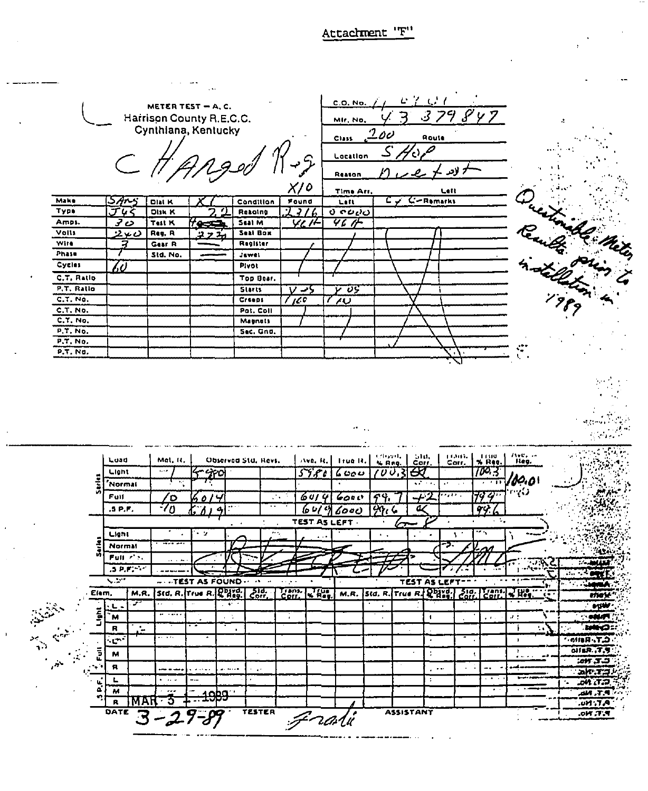# Attachment 'F"

C.O. No. METER TEST - A.C. Harrison County R.E.C.C. Mir. No. Cynthiana, Kentucky 7 00 Route Class يدكو Location لادر Reason  $X/O$ Left **Time Arr** Ouestinable Meter **Make** Found  $C-$ Remarks 57105 **DIALK** Condition Lett じつ 7716 <u>ง จะยอ</u> Type ፓদ **DIJK K** Resolng <u>ت7</u> Amps. Test K Seal M <u>YLT</u> 46 M <u>ress</u> Volls Seal Box <u>ن بر2</u> Reg. R  $\mathbf{A}$  $\overline{z}$ **Wife** Gear<sub>R</sub> Register Phase Std. No. Jawel **Cycles** Pivot (i) C.T. Ratlo Top Bear. P.T. Ratio Starts  $V > 5$ V US  $C, T, No.$  $100$ Creeps  $\overline{\overline{U}}$  $C.T. No.$ Pat. Coll  $C.T.$  No. **Magnets**  $P, T, NO,$ **Sec. Gnd.**  $P.T. No.$ P.T. No. izbovit.<br>N. Reg.  $e^{i\mu}$ LIANS.<br>Corr.  $T_{\text{reg}}$ **HANG**<br>William Luad Mal. H. Observed Std, Revs.  $A$ ve,  $B_x$  True R. 700.3 Light  $6000$  $\overline{\iota\sigma}\overline{\jmath}$  $\ddotsc$ 400  $5786$ ≪ '60.OI 'Normal mas  $F$ ull  $6014$  $\overline{59}$ ′о  $6000$ U.  $99.6$  $5P.F.$ 7٥  $6419600$  $\overline{a}$ 99 TEST AS LEFT Light -9  $\cdot$  $\ddotsc$  $\bullet$  $\pmb{\mathsf{I}}$ Normal  $Full \nightharpoonup$  $.5 P.F$ 7.  $\overline{\phantom{a}}$ TEST AS FOUND TEST AS LEFT Trans.<br>Corr M.R. Std. R. True R. R. Bayd. Std. Trans. Elem,  $\left|$  Std. R. True R.  $\mathbb{R}^{D}$  $\epsilon_{\rm out}^{\rm tot}$  $\overline{\mathbf{R}}$ 78 M.R. men 7  $\mathbf{L}$ **BYSIN** i<br>S  $\overline{M}$  $\epsilon$  : **COMPT**  $\ddot{\phantom{1}}$ . . ĪØ.  $\pmb{\mathsf{R}}$ ů. Ť ŧ. å,  $\mathbf{r}$ **C.T. Refle**  $\mathbf{C}$  $\blacksquare$  $O(6R, T, T)$  $\bar{\bar{\mathbf{z}}}$ M  $\ddot{\cdot}$  $25.70$  $\mathbf{a}$  $\sim$  .  $\ddot{\phantom{a}}$ z. .. . . . . . . alt.T.J. L Ŧ  $3 P.F.$ DA (T.D  $\overline{M}$  $34.7.9$ دوط 3  $\overline{R}$ **MAR AT.Mu.**  $-\bar{2}$ Frati DATE TESTER **ASSISTANT** ंड  $P, T, N0.$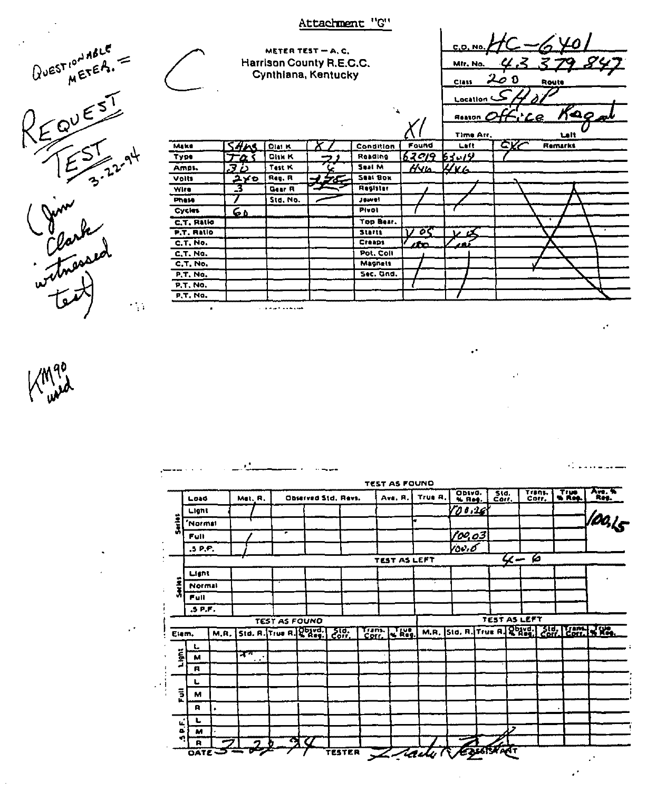|                                                               |            |                    |                                                 | Attachment "G"    |                 |                               |                                                  |                                |
|---------------------------------------------------------------|------------|--------------------|-------------------------------------------------|-------------------|-----------------|-------------------------------|--------------------------------------------------|--------------------------------|
| $QV^{\text{EST}}^{\text{total}} = \frac{1}{2} \sum_{n=1}^{N}$ |            |                    | Harrison County R.E.C.C.<br>Cynthiana, Kentucky | METER TEST - A.C. |                 |                               | C.O. No.<br>MIr. No.<br>Class                    | 0 ص2<br>Route                  |
|                                                               | Make       | <i><b>SAME</b></i> | <b>Dial K</b>                                   |                   | Condition       | Found                         | Location &<br><b>Reaton</b><br>Time Arr.<br>Left | Kaom<br>Laft<br>CKC<br>Remarks |
| 3.22.94                                                       | Type       | מ⊤ד                | Disk K                                          |                   | Reading         | <u>62919 63.19</u>            |                                                  |                                |
|                                                               | Ampi.      | 36                 | Test K                                          |                   | Seat M          | $\bar{H}$ Ylo                 | 446                                              |                                |
|                                                               | Volts      | ユメロ                | Reg. R                                          | ↵<br>5C           | Seat Box        |                               |                                                  |                                |
|                                                               | Wire       | -3                 | Gear <sub>R</sub>                               |                   | <b>Register</b> |                               |                                                  |                                |
|                                                               | Phase      |                    | Std. No.                                        |                   | Jewel           |                               |                                                  |                                |
|                                                               | Cycles     | $\overline{60}$    |                                                 |                   | Pivot           |                               |                                                  |                                |
| Clark<br>Clarked<br>witnessed                                 | C.T. Ratio |                    |                                                 |                   | Top Bear.       |                               |                                                  | ٠                              |
|                                                               | P.T. Ratio |                    |                                                 |                   | Starts          | øς<br>$\overline{\mathbf{v}}$ |                                                  |                                |
|                                                               | C.T. No.   |                    |                                                 |                   | Creaps          | /fro                          |                                                  |                                |
|                                                               | C.T. No.   |                    |                                                 |                   | Pot. Coll       |                               |                                                  |                                |
|                                                               | C.T. No.   |                    |                                                 |                   | <b>Magnets</b>  |                               |                                                  |                                |
|                                                               | P.T. No.   |                    |                                                 |                   | Sec. Gnd.       |                               |                                                  |                                |
|                                                               | P.T. No.   |                    |                                                 |                   |                 |                               |                                                  |                                |
|                                                               | P, T, N0   |                    |                                                 |                   |                 |                               |                                                  |                                |

190

 $\cdot$ 

 $\ddot{\phantom{1}}$ 

 $\bar{\psi}$ 

|                | Load                |      | Met. R.   |                      | Observed Std, Ravs.   |                |                | Ave, R.             | True R.    | ODSVO.<br>% Res.                               | 510.             |                     | Trans. | True | Ave. %<br>_Reg |
|----------------|---------------------|------|-----------|----------------------|-----------------------|----------------|----------------|---------------------|------------|------------------------------------------------|------------------|---------------------|--------|------|----------------|
|                | Light               |      |           |                      |                       |                |                |                     |            | 100.26                                         |                  |                     |        |      |                |
| į              | Normal <sup>'</sup> |      |           |                      |                       |                |                |                     | ш          |                                                |                  |                     |        |      | looks          |
|                | <b>Full</b>         |      |           | ∙                    |                       |                |                |                     |            | 100.03                                         |                  |                     |        |      |                |
|                | .5P.F.              |      |           |                      |                       |                |                |                     |            | rov.o                                          |                  |                     |        |      |                |
|                |                     |      |           |                      |                       |                |                | TEST AS LEFT        |            |                                                |                  | $4 - 6$             |        |      |                |
|                | Light               |      |           |                      |                       |                |                |                     |            |                                                |                  |                     |        |      |                |
| Ĵ,             | Normal              |      |           |                      |                       |                |                |                     | $\epsilon$ |                                                |                  |                     |        |      |                |
|                | Full                |      |           |                      |                       |                |                |                     |            |                                                |                  |                     |        |      |                |
|                | .5P.F.              |      |           |                      |                       |                |                |                     |            |                                                |                  | <b>TEST AS LEFT</b> |        |      |                |
|                |                     |      |           | <b>TEST AS FOUND</b> |                       |                |                |                     |            | M.R. Std. R. True R. R. Reggi Corr. Corr. N.R. |                  |                     |        |      |                |
| Elem.          |                     | M.R. |           |                      | Std. R. True R. Powd. | - ਤਾਰ.<br>Corr | Trans.<br>Corr | $\sqrt{k_{\rm eq}}$ |            |                                                |                  |                     |        |      |                |
| Light          | L<br>M              |      | नग        |                      |                       |                |                |                     |            |                                                |                  |                     |        |      |                |
|                | A                   |      | $\cdot$ . |                      |                       |                |                |                     |            |                                                |                  |                     |        |      |                |
|                |                     |      |           |                      |                       |                |                |                     |            |                                                |                  |                     |        |      |                |
| $\overline{5}$ | м                   |      |           |                      |                       |                |                |                     |            |                                                |                  |                     |        |      |                |
|                | R                   |      |           |                      |                       |                |                |                     |            |                                                |                  |                     |        |      |                |
|                | L                   |      |           |                      |                       |                |                |                     |            |                                                |                  |                     |        |      |                |
| ۱Ĺ,<br>5       | M                   |      |           |                      |                       |                |                |                     |            |                                                |                  | ,                   |        |      |                |
| n              | R                   |      |           |                      | 90                    |                |                |                     |            |                                                | <b>EXISTERAT</b> |                     |        |      |                |

 $\epsilon^{\frac{1}{2}}$ 

 $\mathcal{L}$ 

 $\mathcal{A}$ 

 $\overline{\phantom{a}}$ 

 $\mathbf{r}$ 

 $\ddot{\phantom{a}}$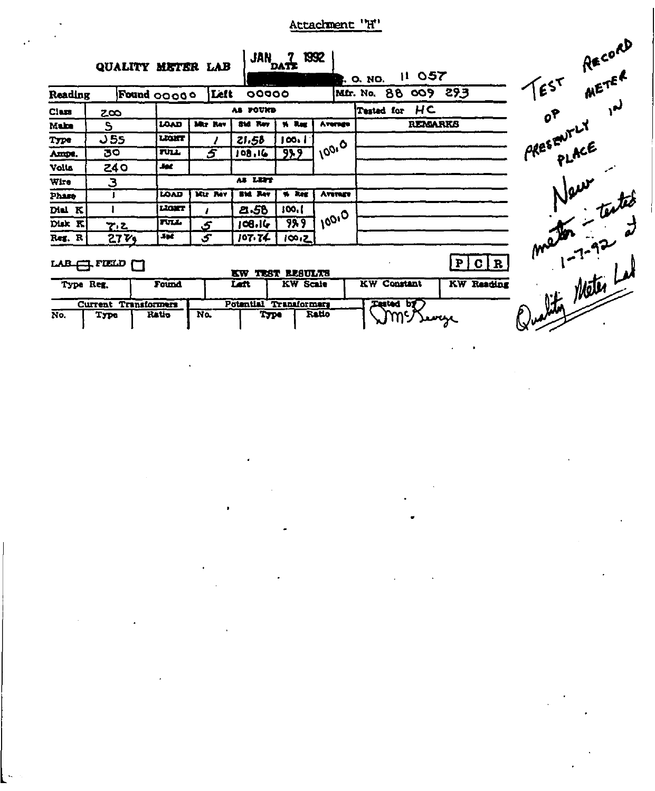# Attachment 'H'

|           | QUALITY METER LAB              |             |               | <b>JAN 7</b>     | DATT                | 1992         | 11057<br><b>B.</b> O. NO.               | RECORY<br>$E^{ST}$                |
|-----------|--------------------------------|-------------|---------------|------------------|---------------------|--------------|-----------------------------------------|-----------------------------------|
| Reading   | Found 00000                    |             | Left          | 00000            |                     |              | 009 293<br>Mfr. No. 88                  |                                   |
| Class     | $2\infty$                      |             |               | AS POUND         |                     |              | HC<br><b>Tested for</b>                 | OP LY                             |
| Make      | S                              | <b>LOAD</b> | Mr. Rav       | <b>BM Rev</b>    | % Reg               | Avenue       | REMARKS                                 |                                   |
| Type      | 55 ل                           | LEGHT       |               | 21.58            | 100.1               |              |                                         |                                   |
| Ampe.     | 30                             | TULL        | 5             | 108,16           | 989                 | 10010        |                                         |                                   |
| Volta     | 24 O                           | يود         |               |                  |                     |              |                                         |                                   |
| Wire      | З                              |             |               | AS LETT          |                     |              |                                         |                                   |
| Phase     |                                | <b>LOAD</b> | Mir Rev       | <b>SM Rev</b>    | % Reg               | Avenge       |                                         |                                   |
| Dial K    |                                | LIGHT       |               | 2.56             | 100.1               |              |                                         |                                   |
| Disk K    | 7.Z                            | TULL.       | $\mathcal{L}$ | 108.16           | 999                 | $100^{10}$ . |                                         |                                   |
| Reg. R    | 27V <sub>9</sub>               | Jet         | ۍ             | 107.74           | 100.2               |              |                                         |                                   |
|           | $LAB \leftarrow TED$           |             |               | KW               | <b>TEST RESULTS</b> |              | P C R                                   | re New texted<br>Sultin Meter Lat |
| Type Reg. |                                | Found       |               | Latt.            | <b>KW</b> Scale     |              | <b>KW Reading</b><br><b>KW</b> Constant |                                   |
|           | <b>Transformers</b><br>Current |             |               | <b>Potential</b> | <b>Transformers</b> |              | <b>Tasted by</b>                        |                                   |
| No.       | Type                           | Ratio       | No.           | <b>Type</b>      |                     | <b>Ratio</b> |                                         |                                   |

 $\hat{\boldsymbol{\epsilon}}$ 

 $\hat{\phantom{a}}$ 

 $\bullet$ 

 $\hat{\phantom{a}}$ 

 $\rightarrow$  $\ddot{\phantom{0}}$ 

 $\bullet$ 

 $\lambda$ 

 $\ddot{\phantom{1}}$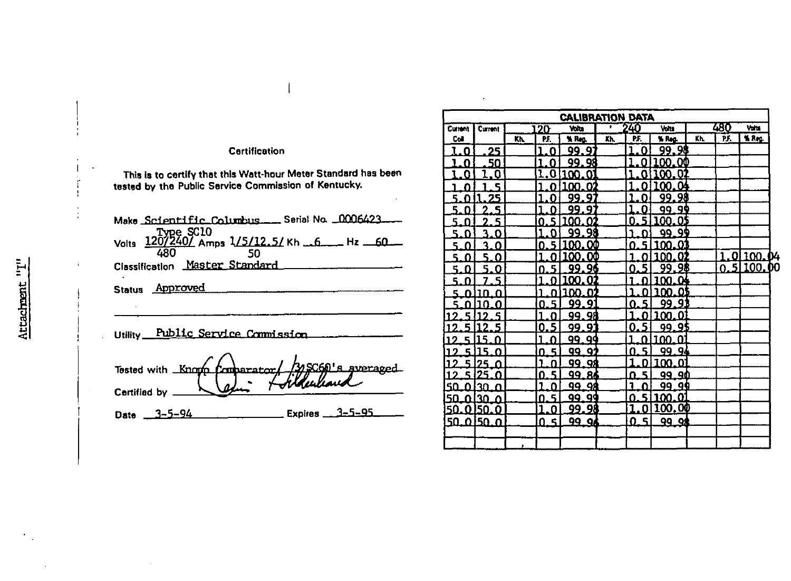## Certification

This is to certify that this Watt-hour Meter Standard has been<br>tested by the Public Service Commission of Kentucky.

| Make Scientific Columbus __ Serial No. 0006423_                    |
|--------------------------------------------------------------------|
|                                                                    |
| Classification Master Standard                                     |
| Status Approved                                                    |
|                                                                    |
| Tested with Known Comparator/ 335060's gypraged<br>Certified by __ |
| ____________________ Expires ____3-5-95____<br>Date $3 - 5 - 94$   |
|                                                                    |

|                |           |     |        | <b>CALIBRATION DATA</b> |     |         |                      |     |     |                 |  |
|----------------|-----------|-----|--------|-------------------------|-----|---------|----------------------|-----|-----|-----------------|--|
| <b>Current</b> | Current   |     | 120    | Volta                   |     | 240     | Volu                 |     | 480 | Volta           |  |
| Col            |           | Kh. | PF.    | % Rep.                  | Kh. | PF.     | % Reg.               | Kh. | PF. | % Reg.          |  |
| 0              | 25        |     | 0      | 99.9.                   |     | Ω       | <u>99.98</u>         |     |     |                 |  |
| O              | 50        |     | Ω      | 99.98                   |     | Ω       | <b>100.00</b>        |     |     |                 |  |
| n              | 0         |     | O      | 100.0.                  |     | o       | 0.<br>0              |     |     |                 |  |
|                | ς         |     |        | n<br>100.               |     | Ω       | $\mathbf{Q}$<br>.00. |     |     |                 |  |
| ц<br>n         | 25        |     |        | QQ<br>9                 |     | 11      | 98<br>ąą             |     |     |                 |  |
| 5              | ۹<br>2    |     |        | 99.<br>9                |     | Ω       | -90<br>99            |     |     |                 |  |
| 5              | 5         |     |        | n<br>ΩO                 |     |         | OS<br>100            |     |     |                 |  |
| ۹              | ٦<br>n    |     |        | 98<br>99.               |     |         | 99.99                |     |     |                 |  |
| 5              | ว<br>O    |     | П      | ). OO<br>$^{\rm m}$     |     | n       | 01<br>າດຕ            |     |     |                 |  |
| ς<br>n         | 5.<br>n   |     |        | ΟŒ                      |     |         | Ω.<br>m              |     |     | <u>01100.04</u> |  |
| 5<br>n         | ۳.<br>Ω   |     |        | 96<br>99.               |     | Ω       | 98<br>99             |     |     | 0.51100.00      |  |
| 5<br>n         | ς         |     |        | ιw<br>O.                |     |         | $\Omega$<br>TXI      |     |     |                 |  |
| ς<br>m         | 30<br>O   |     |        | n,                      |     |         | OS<br>m              |     |     |                 |  |
|                | 10<br>n   |     | Ę<br>Ω | 9<br>99.                |     | 5<br>Ω  | 99.91                |     |     |                 |  |
|                | ς         |     |        | 99.98                   |     | Λ       | 0<br>າດດ             |     |     |                 |  |
|                | 2<br>5    |     | 5<br>O | 99.91                   |     | Ω       | 99.95                |     |     |                 |  |
| o              | 5         |     |        | 99. QQ                  |     | n       | 0<br>100.            |     |     |                 |  |
| 51             | 15<br>O   |     | 5<br>n | 99.91                   |     | 5<br>0  | 99.94                |     |     |                 |  |
|                | n         |     |        | QQ<br><b>98</b>         |     | n       | O.<br>ന              |     |     |                 |  |
| ς.             | クら<br>o   |     | Ę<br>n | 99<br>86                |     | 5<br>п  | ۹M<br>99.            |     |     |                 |  |
| 50<br>n        | าก<br>Π   |     |        | 98<br>99.               |     | n       | 99.99                |     |     |                 |  |
| 50             | nian<br>Ω |     | 5<br>n | 99.99                   |     | ς<br>ი  | 100.01               |     |     |                 |  |
| 50<br>n        | 50.<br>0  |     | п      | 99.98                   |     | Ω       | <u> 100.00</u>       |     |     |                 |  |
| 50             | .0150. O  |     | 5<br>n | 99. QA                  |     | 51<br>ŋ | 99 QA                |     |     |                 |  |
|                |           |     |        |                         |     |         |                      |     |     |                 |  |
|                |           |     |        |                         |     |         |                      |     |     |                 |  |

Ŷ ÷,

 $\mathbf{L}$